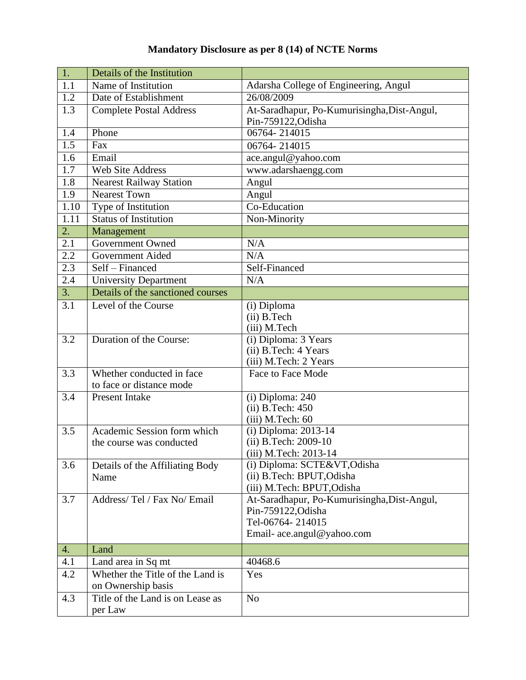## **Mandatory Disclosure as per 8 (14) of NCTE Norms**

| 1.               | Details of the Institution        |                                              |
|------------------|-----------------------------------|----------------------------------------------|
| 1.1              | Name of Institution               | Adarsha College of Engineering, Angul        |
| 1.2              | Date of Establishment             | 26/08/2009                                   |
| 1.3              | <b>Complete Postal Address</b>    | At-Saradhapur, Po-Kumurisingha, Dist-Angul,  |
|                  |                                   | Pin-759122, Odisha                           |
| 1.4              | Phone                             | 06764-214015                                 |
| 1.5              | Fax                               | 06764-214015                                 |
| 1.6              | Email                             | ace.angul@yahoo.com                          |
| 1.7              | <b>Web Site Address</b>           | www.adarshaengg.com                          |
| 1.8              | <b>Nearest Railway Station</b>    | Angul                                        |
| 1.9              | <b>Nearest Town</b>               | Angul                                        |
| 1.10             | Type of Institution               | Co-Education                                 |
| 1.11             | <b>Status of Institution</b>      | Non-Minority                                 |
| $\overline{2}$ . | Management                        |                                              |
| 2.1              | Government Owned                  | N/A                                          |
| 2.2              | <b>Government Aided</b>           | N/A                                          |
| $\overline{2.3}$ | Self - Financed                   | Self-Financed                                |
| 2.4              | <b>University Department</b>      | N/A                                          |
| 3.               | Details of the sanctioned courses |                                              |
| 3.1              | Level of the Course               | (i) Diploma                                  |
|                  |                                   | (ii) B.Tech                                  |
|                  |                                   | (iii) M.Tech                                 |
| $\overline{3.2}$ | Duration of the Course:           | (i) Diploma: 3 Years                         |
|                  |                                   | (ii) B.Tech: 4 Years                         |
|                  |                                   | (iii) M.Tech: 2 Years                        |
| 3.3              | Whether conducted in face         | Face to Face Mode                            |
|                  | to face or distance mode          |                                              |
| 3.4              | <b>Present Intake</b>             | (i) Diploma: 240                             |
|                  |                                   | $(ii)$ B.Tech: $450$                         |
|                  | Academic Session form which       | (iii) M.Tech: 60                             |
| 3.5              | the course was conducted          | (i) Diploma: 2013-14<br>(ii) B.Tech: 2009-10 |
|                  |                                   | (iii) M.Tech: 2013-14                        |
| 3.6              | Details of the Affiliating Body   | (i) Diploma: SCTE&VT, Odisha                 |
|                  | Name                              | (ii) B.Tech: BPUT, Odisha                    |
|                  |                                   | (iii) M.Tech: BPUT, Odisha                   |
| 3.7              | Address/Tel / Fax No/ Email       | At-Saradhapur, Po-Kumurisingha, Dist-Angul,  |
|                  |                                   | Pin-759122, Odisha                           |
|                  |                                   | Tel-06764-214015                             |
|                  |                                   | Email-ace.angul@yahoo.com                    |
| 4.               | Land                              |                                              |
| 4.1              | Land area in Sq mt                | 40468.6                                      |
| 4.2              | Whether the Title of the Land is  | Yes                                          |
|                  | on Ownership basis                |                                              |
| 4.3              | Title of the Land is on Lease as  | N <sub>o</sub>                               |
|                  | per Law                           |                                              |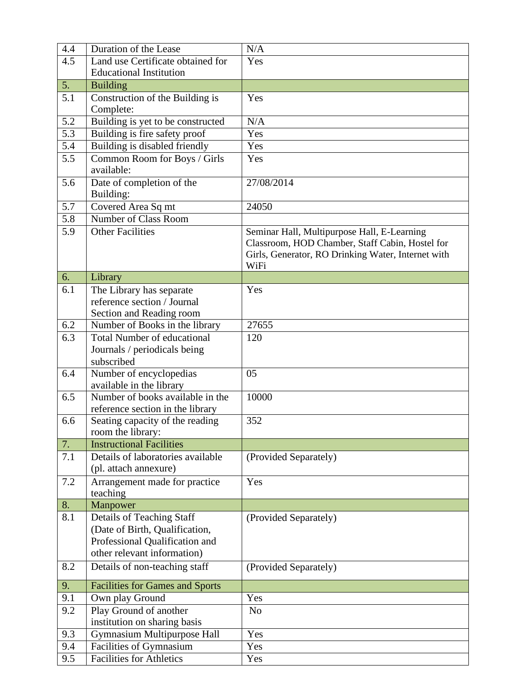| 4.4              | Duration of the Lease                                                                                                        | N/A                                                                                                                                                          |
|------------------|------------------------------------------------------------------------------------------------------------------------------|--------------------------------------------------------------------------------------------------------------------------------------------------------------|
| 4.5              | Land use Certificate obtained for                                                                                            | Yes                                                                                                                                                          |
|                  | <b>Educational Institution</b>                                                                                               |                                                                                                                                                              |
| 5.               | <b>Building</b>                                                                                                              |                                                                                                                                                              |
| 5.1              | Construction of the Building is<br>Complete:                                                                                 | Yes                                                                                                                                                          |
| 5.2              | Building is yet to be constructed                                                                                            | N/A                                                                                                                                                          |
| $\overline{5.3}$ | Building is fire safety proof                                                                                                | Yes                                                                                                                                                          |
| 5.4              | Building is disabled friendly                                                                                                | Yes                                                                                                                                                          |
| 5.5              | Common Room for Boys / Girls<br>available:                                                                                   | Yes                                                                                                                                                          |
| 5.6              | Date of completion of the<br>Building:                                                                                       | 27/08/2014                                                                                                                                                   |
| 5.7              | Covered Area Sq mt                                                                                                           | 24050                                                                                                                                                        |
| 5.8              | Number of Class Room                                                                                                         |                                                                                                                                                              |
| 5.9              | <b>Other Facilities</b>                                                                                                      | Seminar Hall, Multipurpose Hall, E-Learning<br>Classroom, HOD Chamber, Staff Cabin, Hostel for<br>Girls, Generator, RO Drinking Water, Internet with<br>WiFi |
| 6.               | Library                                                                                                                      |                                                                                                                                                              |
| 6.1              | The Library has separate<br>reference section / Journal                                                                      | Yes                                                                                                                                                          |
| 6.2              | Section and Reading room<br>Number of Books in the library                                                                   | 27655                                                                                                                                                        |
| 6.3              | <b>Total Number of educational</b>                                                                                           | 120                                                                                                                                                          |
|                  | Journals / periodicals being<br>subscribed                                                                                   |                                                                                                                                                              |
| 6.4              | Number of encyclopedias<br>available in the library                                                                          | 05                                                                                                                                                           |
| 6.5              | Number of books available in the<br>reference section in the library                                                         | 10000                                                                                                                                                        |
| 6.6              | Seating capacity of the reading<br>room the library:                                                                         | 352                                                                                                                                                          |
| 7.               | <b>Instructional Facilities</b>                                                                                              |                                                                                                                                                              |
| 7.1              | Details of laboratories available<br>(pl. attach annexure)                                                                   | (Provided Separately)                                                                                                                                        |
| 7.2              | Arrangement made for practice<br>teaching                                                                                    | Yes                                                                                                                                                          |
| 8.               | Manpower                                                                                                                     |                                                                                                                                                              |
| 8.1              | Details of Teaching Staff<br>(Date of Birth, Qualification,<br>Professional Qualification and<br>other relevant information) | (Provided Separately)                                                                                                                                        |
| 8.2              | Details of non-teaching staff                                                                                                | (Provided Separately)                                                                                                                                        |
| 9.               | <b>Facilities for Games and Sports</b>                                                                                       |                                                                                                                                                              |
| 9.1              | Own play Ground                                                                                                              | Yes                                                                                                                                                          |
| 9.2              | Play Ground of another<br>institution on sharing basis                                                                       | N <sub>o</sub>                                                                                                                                               |
| 9.3              | Gymnasium Multipurpose Hall                                                                                                  | Yes                                                                                                                                                          |
| 9.4              | Facilities of Gymnasium                                                                                                      | Yes                                                                                                                                                          |
| 9.5              | <b>Facilities for Athletics</b>                                                                                              | Yes                                                                                                                                                          |